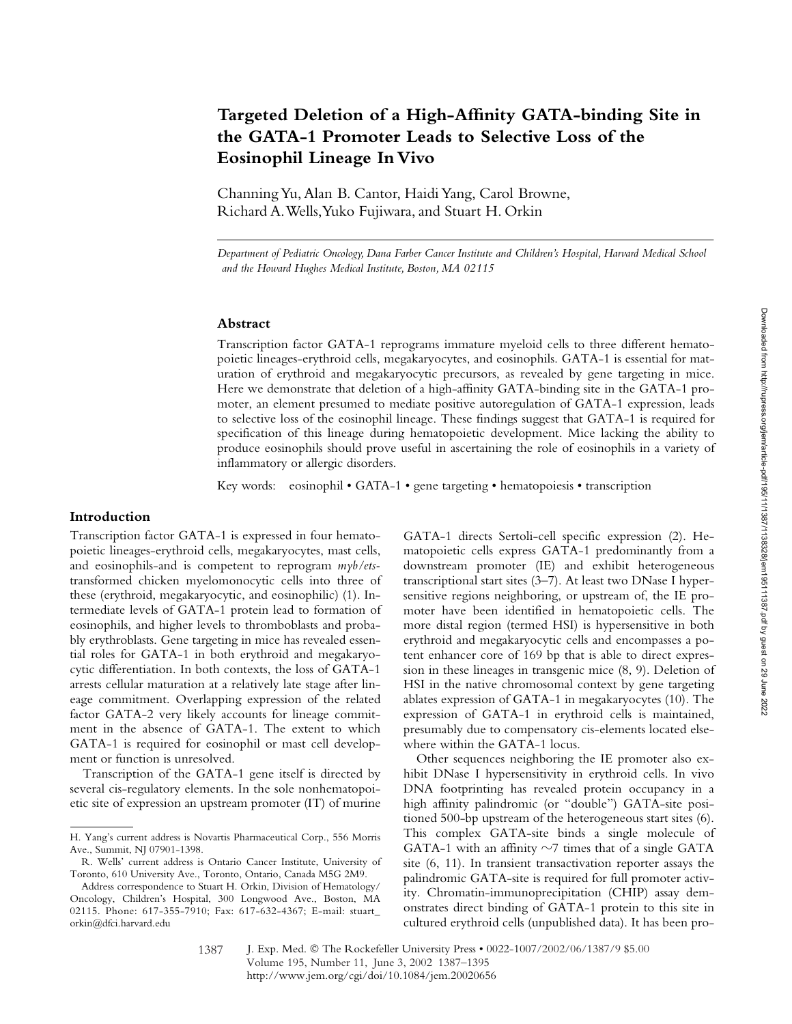# **Targeted Deletion of a High-Affinity GATA-binding Site in the GATA-1 Promoter Leads to Selective Loss of the Eosinophil Lineage In Vivo**

Channing Yu, Alan B. Cantor, Haidi Yang, Carol Browne, Richard A. Wells, Yuko Fujiwara, and Stuart H. Orkin

*Department of Pediatric Oncology, Dana Farber Cancer Institute and Children's Hospital, Harvard Medical School and the Howard Hughes Medical Institute, Boston, MA 02115*

#### **Abstract**

Transcription factor GATA-1 reprograms immature myeloid cells to three different hematopoietic lineages-erythroid cells, megakaryocytes, and eosinophils. GATA-1 is essential for maturation of erythroid and megakaryocytic precursors, as revealed by gene targeting in mice. Here we demonstrate that deletion of a high-affinity GATA-binding site in the GATA-1 promoter, an element presumed to mediate positive autoregulation of GATA-1 expression, leads to selective loss of the eosinophil lineage. These findings suggest that GATA-1 is required for specification of this lineage during hematopoietic development. Mice lacking the ability to produce eosinophils should prove useful in ascertaining the role of eosinophils in a variety of inflammatory or allergic disorders.

Key words: eosinophil • GATA-1 • gene targeting • hematopoiesis • transcription

### **Introduction**

Transcription factor GATA-1 is expressed in four hematopoietic lineages-erythroid cells, megakaryocytes, mast cells, and eosinophils-and is competent to reprogram *myb/ets*transformed chicken myelomonocytic cells into three of these (erythroid, megakaryocytic, and eosinophilic) (1). Intermediate levels of GATA-1 protein lead to formation of eosinophils, and higher levels to thromboblasts and probably erythroblasts. Gene targeting in mice has revealed essential roles for GATA-1 in both erythroid and megakaryocytic differentiation. In both contexts, the loss of GATA-1 arrests cellular maturation at a relatively late stage after lineage commitment. Overlapping expression of the related factor GATA-2 very likely accounts for lineage commitment in the absence of GATA-1. The extent to which GATA-1 is required for eosinophil or mast cell development or function is unresolved.

Transcription of the GATA-1 gene itself is directed by several cis-regulatory elements. In the sole nonhematopoietic site of expression an upstream promoter (IT) of murine

GATA-1 directs Sertoli-cell specific expression (2). Hematopoietic cells express GATA-1 predominantly from a downstream promoter (IE) and exhibit heterogeneous transcriptional start sites (3–7). At least two DNase I hypersensitive regions neighboring, or upstream of, the IE promoter have been identified in hematopoietic cells. The more distal region (termed HSI) is hypersensitive in both erythroid and megakaryocytic cells and encompasses a potent enhancer core of 169 bp that is able to direct expression in these lineages in transgenic mice (8, 9). Deletion of HSI in the native chromosomal context by gene targeting ablates expression of GATA-1 in megakaryocytes (10). The expression of GATA-1 in erythroid cells is maintained, presumably due to compensatory cis-elements located elsewhere within the GATA-1 locus.

Other sequences neighboring the IE promoter also exhibit DNase I hypersensitivity in erythroid cells. In vivo DNA footprinting has revealed protein occupancy in a high affinity palindromic (or "double") GATA-site positioned 500-bp upstream of the heterogeneous start sites (6). This complex GATA-site binds a single molecule of GATA-1 with an affinity  $\sim$ 7 times that of a single GATA site (6, 11). In transient transactivation reporter assays the palindromic GATA-site is required for full promoter activity. Chromatin-immunoprecipitation (CHIP) assay demonstrates direct binding of GATA-1 protein to this site in cultured erythroid cells (unpublished data). It has been pro-

H. Yang's current address is Novartis Pharmaceutical Corp., 556 Morris Ave., Summit, NJ 07901-1398.

R. Wells' current address is Ontario Cancer Institute, University of Toronto, 610 University Ave., Toronto, Ontario, Canada M5G 2M9.

Address correspondence to Stuart H. Orkin, Division of Hematology/ Oncology, Children's Hospital, 300 Longwood Ave., Boston, MA 02115. Phone: 617-355-7910; Fax: 617-632-4367; E-mail: stuart\_ orkin@dfci.harvard.edu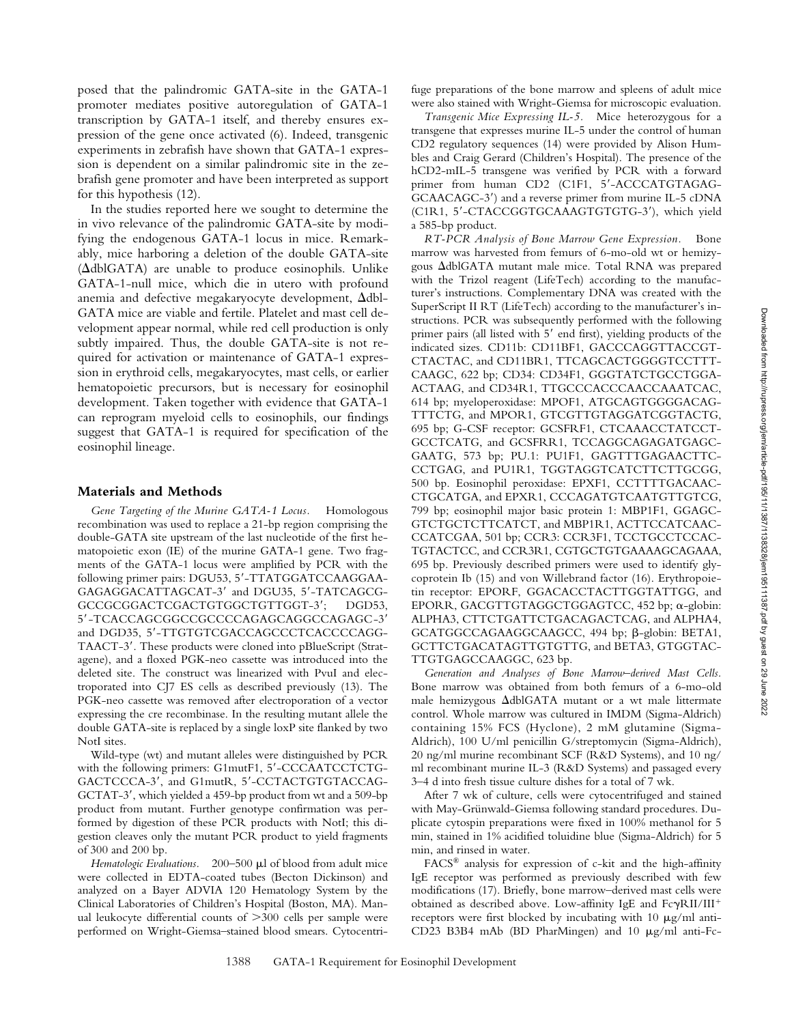posed that the palindromic GATA-site in the GATA-1 promoter mediates positive autoregulation of GATA-1 transcription by GATA-1 itself, and thereby ensures expression of the gene once activated (6). Indeed, transgenic experiments in zebrafish have shown that GATA-1 expression is dependent on a similar palindromic site in the zebrafish gene promoter and have been interpreted as support for this hypothesis (12).

In the studies reported here we sought to determine the in vivo relevance of the palindromic GATA-site by modifying the endogenous GATA-1 locus in mice. Remarkably, mice harboring a deletion of the double GATA-site (AdblGATA) are unable to produce eosinophils. Unlike GATA-1-null mice, which die in utero with profound anemia and defective megakaryocyte development,  $\Delta$ dbl-GATA mice are viable and fertile. Platelet and mast cell development appear normal, while red cell production is only subtly impaired. Thus, the double GATA-site is not required for activation or maintenance of GATA-1 expression in erythroid cells, megakaryocytes, mast cells, or earlier hematopoietic precursors, but is necessary for eosinophil development. Taken together with evidence that GATA-1 can reprogram myeloid cells to eosinophils, our findings suggest that GATA-1 is required for specification of the eosinophil lineage.

### **Materials and Methods**

*Gene Targeting of the Murine GATA-1 Locus.* Homologous recombination was used to replace a 21-bp region comprising the double-GATA site upstream of the last nucleotide of the first hematopoietic exon (IE) of the murine GATA-1 gene. Two fragments of the GATA-1 locus were amplified by PCR with the following primer pairs: DGU53, 5'-TTATGGATCCAAGGAA-GAGAGGACATTAGCAT-3' and DGU35, 5'-TATCAGCG-GCCGCGGACTCGACTGTGGCTGTTGGT-3'; DGD53, 5-TCACCAGCGGCCGCCCCAGAGCAGGCCAGAGC-3 and DGD35, 5'-TTGTGTCGACCAGCCCTCACCCCAGG-TAACT-3'. These products were cloned into pBlueScript (Stratagene), and a floxed PGK-neo cassette was introduced into the deleted site. The construct was linearized with PvuI and electroporated into CJ7 ES cells as described previously (13). The PGK-neo cassette was removed after electroporation of a vector expressing the cre recombinase. In the resulting mutant allele the double GATA-site is replaced by a single loxP site flanked by two NotI sites.

Wild-type (wt) and mutant alleles were distinguished by PCR with the following primers: G1mutF1, 5'-CCCAATCCTCTG-GACTCCCA-3', and G1mutR, 5'-CCTACTGTGTACCAG-GCTAT-3', which yielded a 459-bp product from wt and a 509-bp product from mutant. Further genotype confirmation was performed by digestion of these PCR products with NotI; this digestion cleaves only the mutant PCR product to yield fragments of 300 and 200 bp.

*Hematologic Evaluations.* 200–500 µl of blood from adult mice were collected in EDTA-coated tubes (Becton Dickinson) and analyzed on a Bayer ADVIA 120 Hematology System by the Clinical Laboratories of Children's Hospital (Boston, MA). Manual leukocyte differential counts of  $>300$  cells per sample were performed on Wright-Giemsa–stained blood smears. Cytocentrifuge preparations of the bone marrow and spleens of adult mice were also stained with Wright-Giemsa for microscopic evaluation.

*Transgenic Mice Expressing IL-5.* Mice heterozygous for a transgene that expresses murine IL-5 under the control of human CD2 regulatory sequences (14) were provided by Alison Humbles and Craig Gerard (Children's Hospital). The presence of the hCD2-mIL-5 transgene was verified by PCR with a forward primer from human CD2 (C1F1, 5'-ACCCATGTAGAG-GCAACAGC-3) and a reverse primer from murine IL-5 cDNA (C1R1, 5'-CTACCGGTGCAAAGTGTGTG-3'), which yield a 585-bp product.

*RT-PCR Analysis of Bone Marrow Gene Expression.* Bone marrow was harvested from femurs of 6-mo-old wt or hemizygous AdblGATA mutant male mice. Total RNA was prepared with the Trizol reagent (LifeTech) according to the manufacturer's instructions. Complementary DNA was created with the SuperScript II RT (LifeTech) according to the manufacturer's instructions. PCR was subsequently performed with the following primer pairs (all listed with 5' end first), yielding products of the indicated sizes. CD11b: CD11BF1, GACCCAGGTTACCGT-CTACTAC, and CD11BR1, TTCAGCACTGGGGTCCTTT-CAAGC, 622 bp; CD34: CD34F1, GGGTATCTGCCTGGA-ACTAAG, and CD34R1, TTGCCCACCCAACCAAATCAC, 614 bp; myeloperoxidase: MPOF1, ATGCAGTGGGGACAG-TTTCTG, and MPOR1, GTCGTTGTAGGATCGGTACTG, 695 bp; G-CSF receptor: GCSFRF1, CTCAAACCTATCCT-GCCTCATG, and GCSFRR1, TCCAGGCAGAGATGAGC-GAATG, 573 bp; PU.1: PU1F1, GAGTTTGAGAACTTC-CCTGAG, and PU1R1, TGGTAGGTCATCTTCTTGCGG, 500 bp. Eosinophil peroxidase: EPXF1, CCTTTTGACAAC-CTGCATGA, and EPXR1, CCCAGATGTCAATGTTGTCG, 799 bp; eosinophil major basic protein 1: MBP1F1, GGAGC-GTCTGCTCTTCATCT, and MBP1R1, ACTTCCATCAAC-CCATCGAA, 501 bp; CCR3: CCR3F1, TCCTGCCTCCAC-TGTACTCC, and CCR3R1, CGTGCTGTGAAAAGCAGAAA, 695 bp. Previously described primers were used to identify glycoprotein Ib (15) and von Willebrand factor (16). Erythropoietin receptor: EPORF, GGACACCTACTTGGTATTGG, and  $EPORR$ ,  $GACGTTGTAGGCTGGAGTCC$ , 452 bp;  $\alpha$ -globin: ALPHA3, CTTCTGATTCTGACAGACTCAG, and ALPHA4, GCATGGCCAGAAGGCAAGCC, 494 bp;  $\beta$ -globin: BETA1, GCTTCTGACATAGTTGTGTTG, and BETA3, GTGGTAC-TTGTGAGCCAAGGC, 623 bp.

*Generation and Analyses of Bone Marrow–derived Mast Cells.* Bone marrow was obtained from both femurs of a 6-mo-old male hemizygous  $\Delta$ dblGATA mutant or a wt male littermate control. Whole marrow was cultured in IMDM (Sigma-Aldrich) containing 15% FCS (Hyclone), 2 mM glutamine (Sigma-Aldrich), 100 U/ml penicillin G/streptomycin (Sigma-Aldrich), 20 ng/ml murine recombinant SCF (R&D Systems), and 10 ng/ ml recombinant murine IL-3 (R&D Systems) and passaged every 3–4 d into fresh tissue culture dishes for a total of 7 wk.

After 7 wk of culture, cells were cytocentrifuged and stained with May-Grünwald-Giemsa following standard procedures. Duplicate cytospin preparations were fixed in 100% methanol for 5 min, stained in 1% acidified toluidine blue (Sigma-Aldrich) for 5 min, and rinsed in water.

FACS® analysis for expression of c-kit and the high-affinity IgE receptor was performed as previously described with few modifications (17). Briefly, bone marrow–derived mast cells were obtained as described above. Low-affinity IgE and  $Fe\gamma RII/III^{+}$ receptors were first blocked by incubating with 10  $\mu$ g/ml anti-CD23 B3B4 mAb (BD PharMingen) and  $10 \mu g/ml$  anti-Fc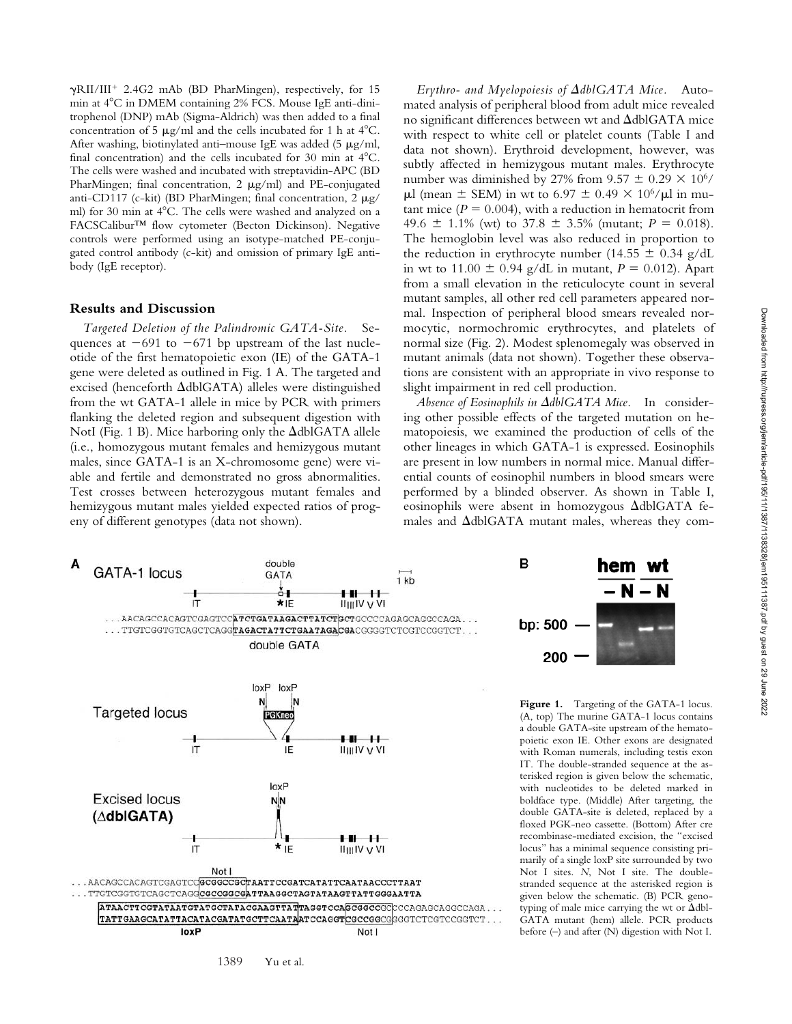$\gamma$ RII/III<sup>+</sup> 2.4G2 mAb (BD PharMingen), respectively, for 15 min at 4 C in DMEM containing 2% FCS. Mouse IgE anti-dinitrophenol (DNP) mAb (Sigma-Aldrich) was then added to a final concentration of 5  $\mu$ g/ml and the cells incubated for 1 h at 4°C. After washing, biotinylated anti-mouse IgE was added (5  $\mu$ g/ml, final concentration) and the cells incubated for 30 min at 4°C. The cells were washed and incubated with streptavidin-APC (BD PharMingen; final concentration,  $2 \mu g/ml$  and PE-conjugated anti-CD117 (c-kit) (BD PharMingen; final concentration,  $2 \mu g$ / ml) for 30 min at 4 C. The cells were washed and analyzed on a FACSCalibur™ flow cytometer (Becton Dickinson). Negative controls were performed using an isotype-matched PE-conjugated control antibody (c-kit) and omission of primary IgE antibody (IgE receptor).

#### **Results and Discussion**

*Targeted Deletion of the Palindromic GATA-Site.* Sequences at  $-691$  to  $-671$  bp upstream of the last nucleotide of the first hematopoietic exon (IE) of the GATA-1 gene were deleted as outlined in Fig. 1 A. The targeted and excised (henceforth  $\Delta$ dblGATA) alleles were distinguished from the wt GATA-1 allele in mice by PCR with primers flanking the deleted region and subsequent digestion with NotI (Fig. 1 B). Mice harboring only the  $\Delta$ dblGATA allele (i.e., homozygous mutant females and hemizygous mutant males, since GATA-1 is an X-chromosome gene) were viable and fertile and demonstrated no gross abnormalities. Test crosses between heterozygous mutant females and hemizygous mutant males yielded expected ratios of progeny of different genotypes (data not shown).

Erythro- and Myelopoiesis of  $\Delta$ dblGATA Mice. Automated analysis of peripheral blood from adult mice revealed no significant differences between wt and  $\Delta \text{dblGATA}$  mice with respect to white cell or platelet counts (Table I and data not shown). Erythroid development, however, was subtly affected in hemizygous mutant males. Erythrocyte number was diminished by 27% from 9.57  $\pm$  0.29  $\times$  10<sup>6</sup>/  $\mu$ l (mean  $\pm$  SEM) in wt to 6.97  $\pm$  0.49  $\times$  10<sup>6</sup>/ $\mu$ l in mutant mice  $(P = 0.004)$ , with a reduction in hematocrit from 49.6  $\pm$  1.1% (wt) to 37.8  $\pm$  3.5% (mutant; *P* = 0.018). The hemoglobin level was also reduced in proportion to the reduction in erythrocyte number (14.55  $\pm$  0.34 g/dL in wt to  $11.00 \pm 0.94$  g/dL in mutant,  $P = 0.012$ ). Apart from a small elevation in the reticulocyte count in several mutant samples, all other red cell parameters appeared normal. Inspection of peripheral blood smears revealed normocytic, normochromic erythrocytes, and platelets of normal size (Fig. 2). Modest splenomegaly was observed in mutant animals (data not shown). Together these observations are consistent with an appropriate in vivo response to slight impairment in red cell production.

Absence of Eosinophils in  $\Delta db$ IGATA Mice. In considering other possible effects of the targeted mutation on hematopoiesis, we examined the production of cells of the other lineages in which GATA-1 is expressed. Eosinophils are present in low numbers in normal mice. Manual differential counts of eosinophil numbers in blood smears were performed by a blinded observer. As shown in Table I, eosinophils were absent in homozygous AdblGATA females and  $\Delta$ dblGATA mutant males, whereas they com-



1389 Yu et al.



Figure 1. Targeting of the GATA-1 locus. (A, top) The murine GATA-1 locus contains a double GATA-site upstream of the hematopoietic exon IE. Other exons are designated with Roman numerals, including testis exon IT. The double-stranded sequence at the asterisked region is given below the schematic, with nucleotides to be deleted marked in boldface type. (Middle) After targeting, the double GATA-site is deleted, replaced by a floxed PGK-neo cassette. (Bottom) After cre recombinase-mediated excision, the "excised locus" has a minimal sequence consisting primarily of a single loxP site surrounded by two Not I sites. *N*, Not I site. The doublestranded sequence at the asterisked region is given below the schematic. (B) PCR genotyping of male mice carrying the wt or  $\Delta \text{dbl}$ -GATA mutant (hem) allele. PCR products before (–) and after (N) digestion with Not I.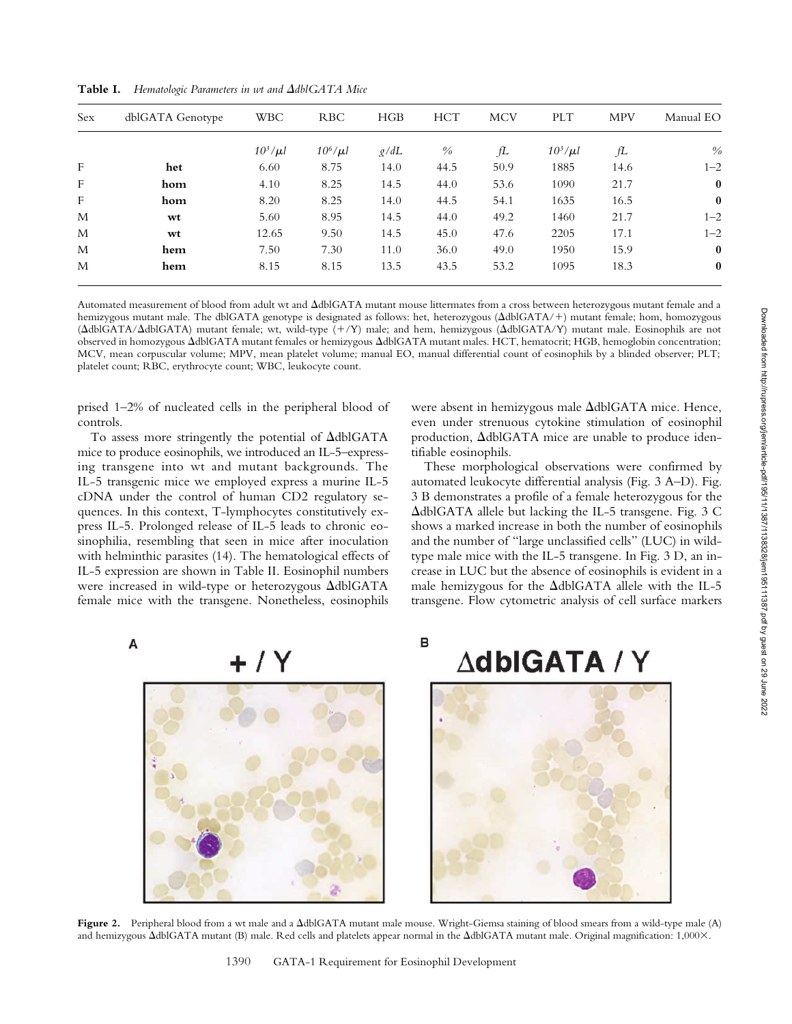**Table I.** Hematologic Parameters in wt and  $\Delta$ dblGATA Mice

| Sex | dblGATA Genotype | <b>WBC</b>   | <b>RBC</b>   | HGB  | <b>HCT</b>    | <b>MCV</b> | <b>PLT</b>   | <b>MPV</b> | Manual EO        |
|-----|------------------|--------------|--------------|------|---------------|------------|--------------|------------|------------------|
|     |                  | $10^3/\mu l$ | $10^6/\mu l$ | g/dL | $\frac{0}{0}$ | fL         | $10^3/\mu l$ | fL         | $\frac{0}{0}$    |
| F   | het              | 6.60         | 8.75         | 14.0 | 44.5          | 50.9       | 1885         | 14.6       | $1 - 2$          |
| F   | hom              | 4.10         | 8.25         | 14.5 | 44.0          | 53.6       | 1090         | 21.7       | $\bf{0}$         |
| F   | hom              | 8.20         | 8.25         | 14.0 | 44.5          | 54.1       | 1635         | 16.5       | $\boldsymbol{0}$ |
| M   | wt               | 5.60         | 8.95         | 14.5 | 44.0          | 49.2       | 1460         | 21.7       | $1 - 2$          |
| M   | wt               | 12.65        | 9.50         | 14.5 | 45.0          | 47.6       | 2205         | 17.1       | $1 - 2$          |
| M   | hem              | 7.50         | 7.30         | 11.0 | 36.0          | 49.0       | 1950         | 15.9       | $\bf{0}$         |
| M   | hem              | 8.15         | 8.15         | 13.5 | 43.5          | 53.2       | 1095         | 18.3       | $\boldsymbol{0}$ |

Automated measurement of blood from adult wt and  $\Delta$ dblGATA mutant mouse littermates from a cross between heterozygous mutant female and a hemizygous mutant male. The dblGATA genotype is designated as follows: het, heterozygous ( $\Delta$ dblGATA/+) mutant female; hom, homozygous (AdblGATA/AdblGATA) mutant female; wt, wild-type (+/Y) male; and hem, hemizygous (AdblGATA/Y) mutant male. Eosinophils are not observed in homozygous  $\Delta$ dblGATA mutant females or hemizygous  $\Delta$ dblGATA mutant males. HCT, hematocrit; HGB, hemoglobin concentration; MCV, mean corpuscular volume; MPV, mean platelet volume; manual EO, manual differential count of eosinophils by a blinded observer; PLT; platelet count; RBC, erythrocyte count; WBC, leukocyte count.

prised 1–2% of nucleated cells in the peripheral blood of controls.

To assess more stringently the potential of  $\Delta \text{dblGATA}$ mice to produce eosinophils, we introduced an IL-5–expressing transgene into wt and mutant backgrounds. The IL-5 transgenic mice we employed express a murine IL-5 cDNA under the control of human CD2 regulatory sequences. In this context, T-lymphocytes constitutively express IL-5. Prolonged release of IL-5 leads to chronic eosinophilia, resembling that seen in mice after inoculation with helminthic parasites (14). The hematological effects of IL-5 expression are shown in Table II. Eosinophil numbers were increased in wild-type or heterozygous AdblGATA female mice with the transgene. Nonetheless, eosinophils

were absent in hemizygous male AdblGATA mice. Hence, even under strenuous cytokine stimulation of eosinophil production,  $\Delta$ dblGATA mice are unable to produce identifiable eosinophils.

These morphological observations were confirmed by automated leukocyte differential analysis (Fig. 3 A–D). Fig. 3 B demonstrates a profile of a female heterozygous for the -dblGATA allele but lacking the IL-5 transgene. Fig. 3 C shows a marked increase in both the number of eosinophils and the number of "large unclassified cells" (LUC) in wildtype male mice with the IL-5 transgene. In Fig. 3 D, an increase in LUC but the absence of eosinophils is evident in a male hemizygous for the  $\Delta$ dblGATA allele with the IL-5 transgene. Flow cytometric analysis of cell surface markers



Figure 2. Peripheral blood from a wt male and a AdblGATA mutant male mouse. Wright-Giemsa staining of blood smears from a wild-type male (A) and hemizygous  $\Delta$ dblGATA mutant (B) male. Red cells and platelets appear normal in the  $\Delta$ dblGATA mutant male. Original magnification: 1,000×.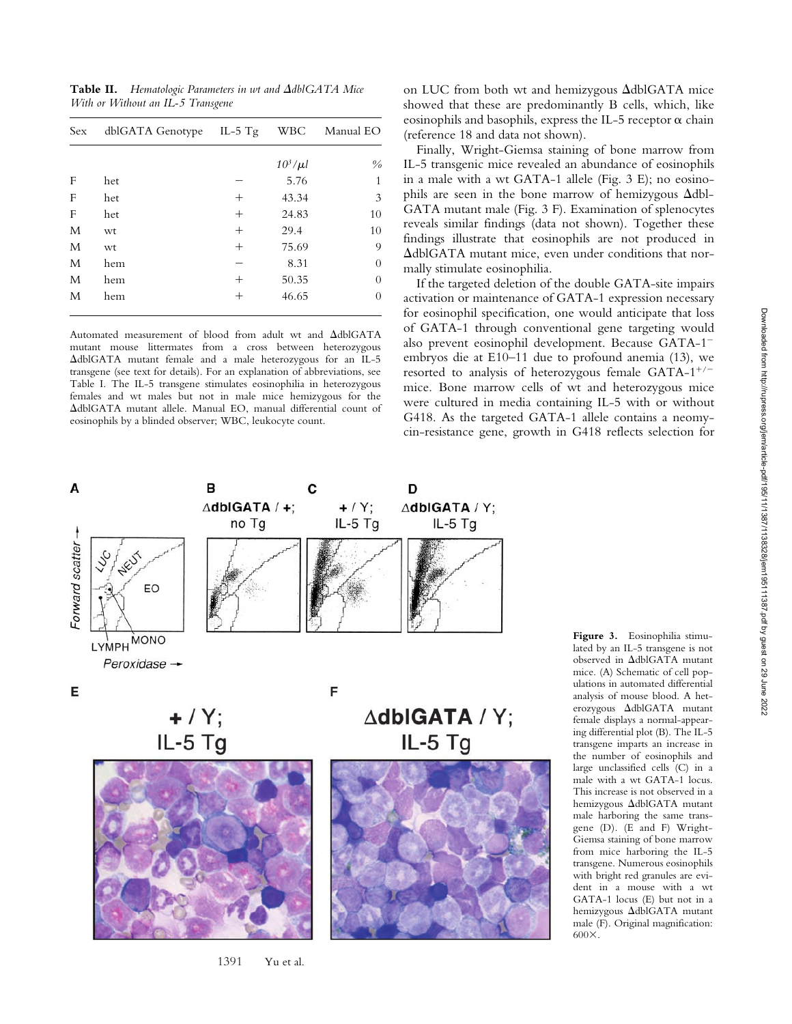Table II. Hematologic Parameters in wt and  $\Delta$ dblGATA Mice *With or Without an IL-5 Transgene*

| Sex | dblGATA Genotype | IL-5 $Tg$ | <b>WBC</b>   | Manual EO     |
|-----|------------------|-----------|--------------|---------------|
|     |                  |           | $10^3/\mu l$ | $\frac{0}{0}$ |
| F   | het              |           | 5.76         | 1             |
| F   | het              | $^+$      | 43.34        | 3             |
| F   | het              | $^{+}$    | 24.83        | 10            |
| M   | wt               | $^{+}$    | 29.4         | 10            |
| M   | wt               | $^+$      | 75.69        | 9             |
| M   | hem              |           | 8.31         | $\Omega$      |
| M   | hem              | $^+$      | 50.35        | $\Omega$      |
| M   | hem              | $^+$      | 46.65        | $\Omega$      |
|     |                  |           |              |               |

Automated measurement of blood from adult wt and AdblGATA mutant mouse littermates from a cross between heterozygous -dblGATA mutant female and a male heterozygous for an IL-5 transgene (see text for details). For an explanation of abbreviations, see Table I. The IL-5 transgene stimulates eosinophilia in heterozygous females and wt males but not in male mice hemizygous for the -dblGATA mutant allele. Manual EO, manual differential count of eosinophils by a blinded observer; WBC, leukocyte count.

on LUC from both wt and hemizygous  $\Delta$ dblGATA mice showed that these are predominantly B cells, which, like eosinophils and basophils, express the IL-5 receptor  $\alpha$  chain (reference 18 and data not shown).

Finally, Wright-Giemsa staining of bone marrow from IL-5 transgenic mice revealed an abundance of eosinophils in a male with a wt GATA-1 allele (Fig. 3 E); no eosinophils are seen in the bone marrow of hemizygous  $\Delta$ dbl-GATA mutant male (Fig. 3 F). Examination of splenocytes reveals similar findings (data not shown). Together these findings illustrate that eosinophils are not produced in -dblGATA mutant mice, even under conditions that normally stimulate eosinophilia.

If the targeted deletion of the double GATA-site impairs activation or maintenance of GATA-1 expression necessary for eosinophil specification, one would anticipate that loss of GATA-1 through conventional gene targeting would also prevent eosinophil development. Because GATA-1 embryos die at E10–11 due to profound anemia (13), we resorted to analysis of heterozygous female  $GATA-1^{+/-}$ mice. Bone marrow cells of wt and heterozygous mice were cultured in media containing IL-5 with or without G418. As the targeted GATA-1 allele contains a neomycin-resistance gene, growth in G418 reflects selection for



Peroxidase -

E

 $+/Y$ ; IL-5 Tg

∆dblGATA / Y; IL-5 Tg



F

1391 Yu et al.

**Figure 3.** Eosinophilia stimulated by an IL-5 transgene is not observed in  $\Delta$ dblGATA mutant mice. (A) Schematic of cell populations in automated differential analysis of mouse blood. A heterozygous  $\Delta$ dblGATA mutant female displays a normal-appearing differential plot (B). The IL-5 transgene imparts an increase in the number of eosinophils and large unclassified cells (C) in a male with a wt GATA-1 locus. This increase is not observed in a hemizygous  $\Delta$ dblGATA mutant male harboring the same transgene (D). (E and F) Wright-Giemsa staining of bone marrow from mice harboring the IL-5 transgene. Numerous eosinophils with bright red granules are evident in a mouse with a wt GATA-1 locus (E) but not in a hemizygous  $\Delta$ dblGATA mutant male (F). Original magnification:  $600X$ .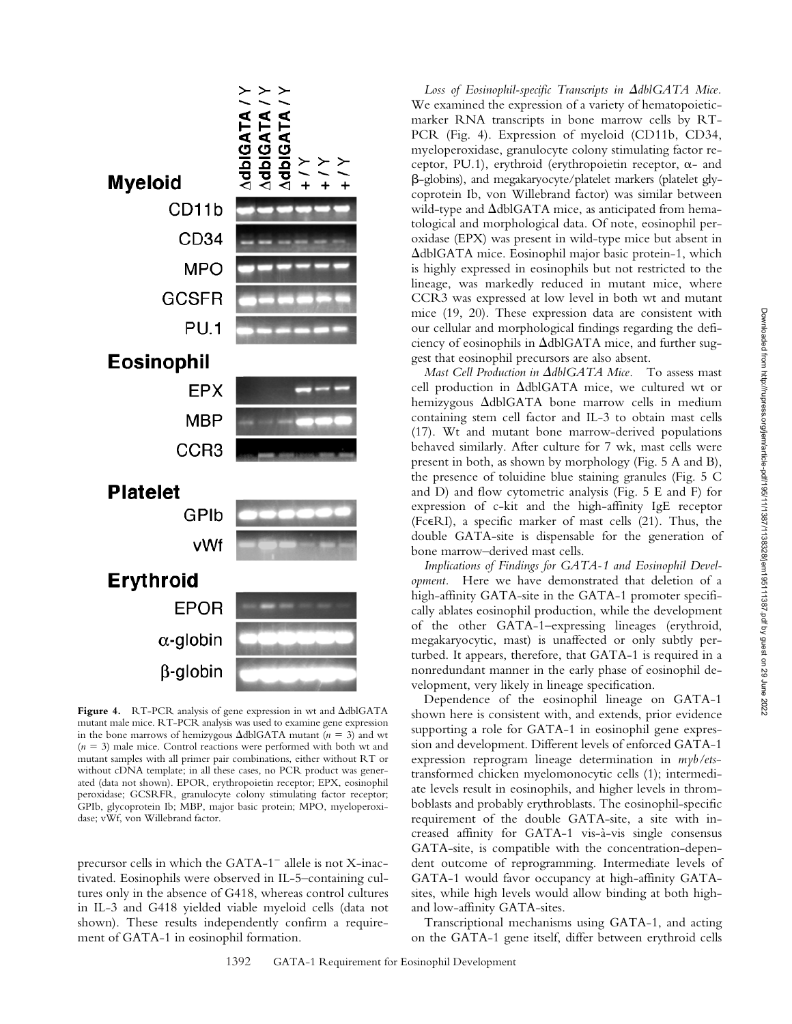

mutant male mice. RT-PCR analysis was used to examine gene expression in the bone marrows of hemizygous  $\Delta \text{dblGATA}$  mutant ( $n = 3$ ) and wt  $(n = 3)$  male mice. Control reactions were performed with both wt and mutant samples with all primer pair combinations, either without RT or without cDNA template; in all these cases, no PCR product was generated (data not shown). EPOR, erythropoietin receptor; EPX, eosinophil peroxidase; GCSRFR, granulocyte colony stimulating factor receptor; GPIb, glycoprotein Ib; MBP, major basic protein; MPO, myeloperoxidase; vWf, von Willebrand factor.

precursor cells in which the  $GATA-1^-$  allele is not X-inactivated. Eosinophils were observed in IL-5–containing cultures only in the absence of G418, whereas control cultures in IL-3 and G418 yielded viable myeloid cells (data not shown). These results independently confirm a requirement of GATA-1 in eosinophil formation.

Loss of Eosinophil-specific Transcripts in  $\Delta$ dblGATA Mice. We examined the expression of a variety of hematopoieticmarker RNA transcripts in bone marrow cells by RT-PCR (Fig. 4). Expression of myeloid (CD11b, CD34, myeloperoxidase, granulocyte colony stimulating factor receptor, PU.1), erythroid (erythropoietin receptor,  $\alpha$ - and -globins), and megakaryocyte/platelet markers (platelet glycoprotein Ib, von Willebrand factor) was similar between wild-type and  $\Delta$ dblGATA mice, as anticipated from hematological and morphological data. Of note, eosinophil peroxidase (EPX) was present in wild-type mice but absent in -dblGATA mice. Eosinophil major basic protein-1, which is highly expressed in eosinophils but not restricted to the lineage, was markedly reduced in mutant mice, where CCR3 was expressed at low level in both wt and mutant mice (19, 20). These expression data are consistent with our cellular and morphological findings regarding the deficiency of eosinophils in  $\Delta$ dblGATA mice, and further suggest that eosinophil precursors are also absent.

*Mast Cell Production in*  $\Delta dblGATA$  *Mice.* To assess mast cell production in  $\Delta$ dblGATA mice, we cultured wt or hemizygous  $\Delta$ dblGATA bone marrow cells in medium containing stem cell factor and IL-3 to obtain mast cells (17). Wt and mutant bone marrow-derived populations behaved similarly. After culture for 7 wk, mast cells were present in both, as shown by morphology (Fig. 5 A and B), the presence of toluidine blue staining granules (Fig. 5 C and D) and flow cytometric analysis (Fig. 5 E and F) for expression of c-kit and the high-affinity IgE receptor (Fc $\in$ RI), a specific marker of mast cells (21). Thus, the double GATA-site is dispensable for the generation of bone marrow–derived mast cells.

*Implications of Findings for GATA-1 and Eosinophil Development.* Here we have demonstrated that deletion of a high-affinity GATA-site in the GATA-1 promoter specifically ablates eosinophil production, while the development of the other GATA-1–expressing lineages (erythroid, megakaryocytic, mast) is unaffected or only subtly perturbed. It appears, therefore, that GATA-1 is required in a nonredundant manner in the early phase of eosinophil development, very likely in lineage specification.

Dependence of the eosinophil lineage on GATA-1 shown here is consistent with, and extends, prior evidence supporting a role for GATA-1 in eosinophil gene expression and development. Different levels of enforced GATA-1 expression reprogram lineage determination in *myb/ets*transformed chicken myelomonocytic cells (1); intermediate levels result in eosinophils, and higher levels in thromboblasts and probably erythroblasts. The eosinophil-specific requirement of the double GATA-site, a site with increased affinity for GATA-1 vis-à-vis single consensus GATA-site, is compatible with the concentration-dependent outcome of reprogramming. Intermediate levels of GATA-1 would favor occupancy at high-affinity GATAsites, while high levels would allow binding at both highand low-affinity GATA-sites.

Transcriptional mechanisms using GATA-1, and acting on the GATA-1 gene itself, differ between erythroid cells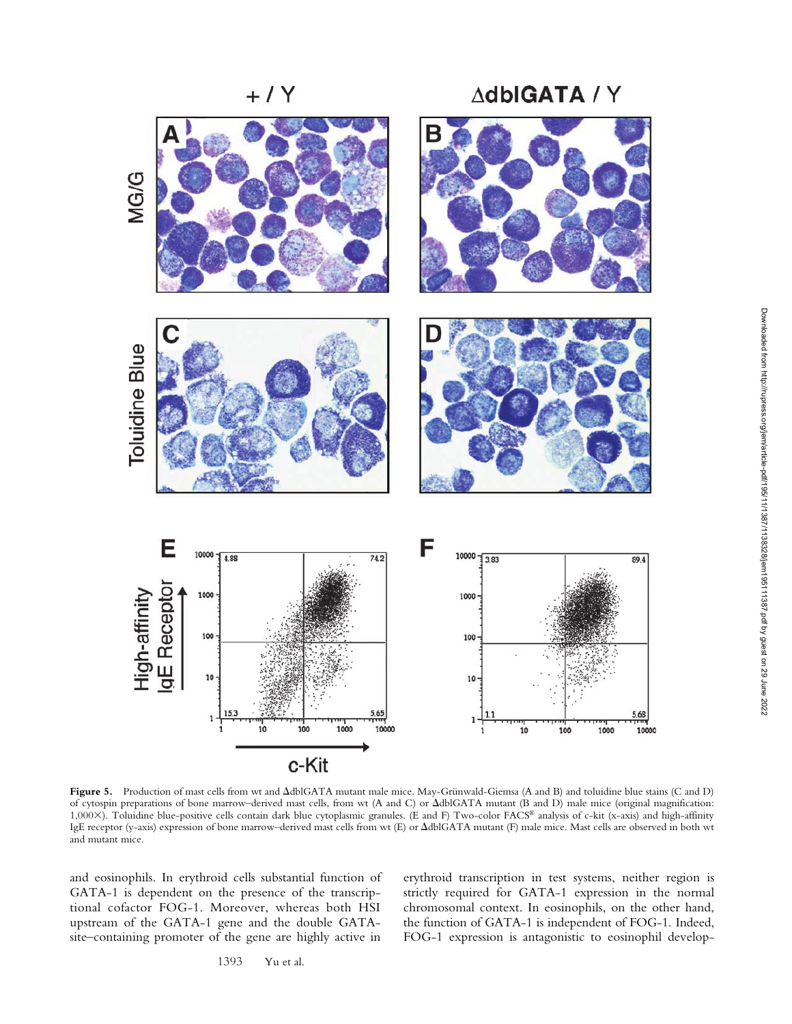



Figure 5. Production of mast cells from wt and  $\Delta$ dblGATA mutant male mice. May-Grünwald-Giemsa (A and B) and toluidine blue stains (C and D) of cytospin preparations of bone marrow–derived mast cells, from wt (A and C) or  $\Delta \text{dblGATA}$  mutant (B and D) male mice (original magnification: 1,000 ). Toluidine blue-positive cells contain dark blue cytoplasmic granules. (E and F) Two-color FACS® analysis of c-kit (x-axis) and high-affinity IgE receptor (y-axis) expression of bone marrow–derived mast cells from wt (E) or  $\Delta \text{dbIGATA}$  mutant (F) male mice. Mast cells are observed in both wt and mutant mice.

and eosinophils. In erythroid cells substantial function of GATA-1 is dependent on the presence of the transcriptional cofactor FOG-1. Moreover, whereas both HSI upstream of the GATA-1 gene and the double GATAsite–containing promoter of the gene are highly active in

erythroid transcription in test systems, neither region is strictly required for GATA-1 expression in the normal chromosomal context. In eosinophils, on the other hand, the function of GATA-1 is independent of FOG-1. Indeed, FOG-1 expression is antagonistic to eosinophil develop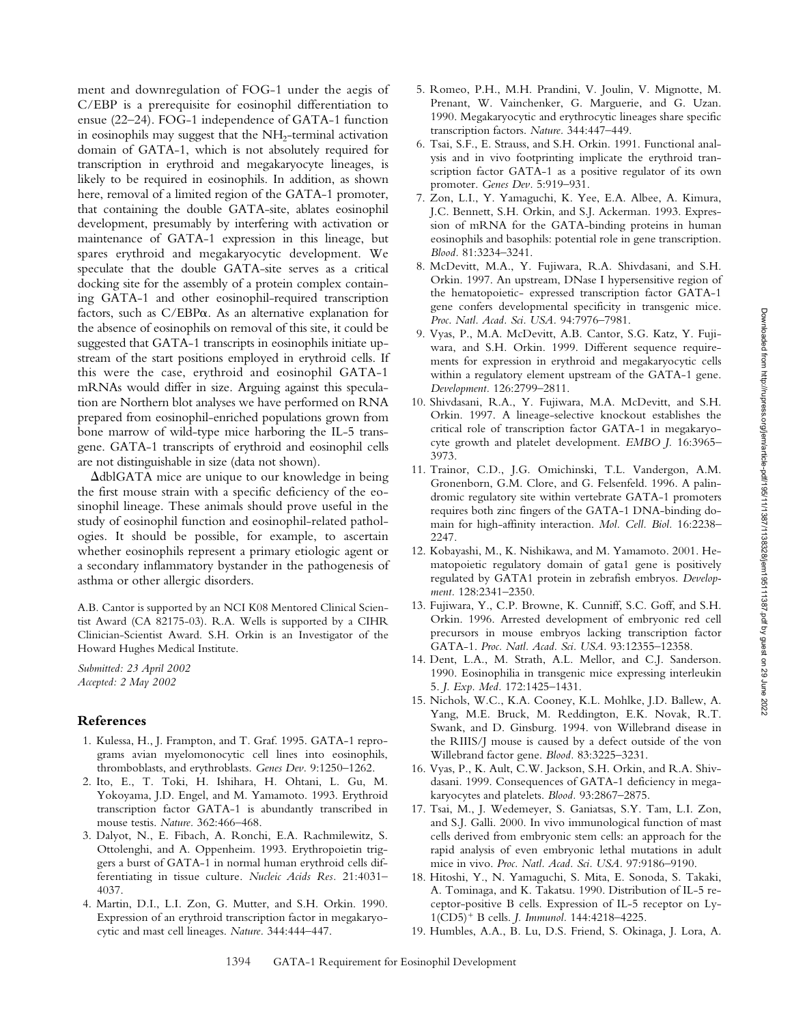ment and downregulation of FOG-1 under the aegis of C/EBP is a prerequisite for eosinophil differentiation to ensue (22–24). FOG-1 independence of GATA-1 function in eosinophils may suggest that the NH<sub>2</sub>-terminal activation domain of GATA-1, which is not absolutely required for transcription in erythroid and megakaryocyte lineages, is likely to be required in eosinophils. In addition, as shown here, removal of a limited region of the GATA-1 promoter, that containing the double GATA-site, ablates eosinophil development, presumably by interfering with activation or maintenance of GATA-1 expression in this lineage, but spares erythroid and megakaryocytic development. We speculate that the double GATA-site serves as a critical docking site for the assembly of a protein complex containing GATA-1 and other eosinophil-required transcription factors, such as  $C/EBP\alpha$ . As an alternative explanation for the absence of eosinophils on removal of this site, it could be suggested that GATA-1 transcripts in eosinophils initiate upstream of the start positions employed in erythroid cells. If this were the case, erythroid and eosinophil GATA-1 mRNAs would differ in size. Arguing against this speculation are Northern blot analyses we have performed on RNA prepared from eosinophil-enriched populations grown from bone marrow of wild-type mice harboring the IL-5 transgene. GATA-1 transcripts of erythroid and eosinophil cells are not distinguishable in size (data not shown).

AdblGATA mice are unique to our knowledge in being the first mouse strain with a specific deficiency of the eosinophil lineage. These animals should prove useful in the study of eosinophil function and eosinophil-related pathologies. It should be possible, for example, to ascertain whether eosinophils represent a primary etiologic agent or a secondary inflammatory bystander in the pathogenesis of asthma or other allergic disorders.

A.B. Cantor is supported by an NCI K08 Mentored Clinical Scientist Award (CA 82175-03). R.A. Wells is supported by a CIHR Clinician-Scientist Award. S.H. Orkin is an Investigator of the Howard Hughes Medical Institute.

*Submitted: 23 April 2002 Accepted: 2 May 2002*

## **References**

- 1. Kulessa, H., J. Frampton, and T. Graf. 1995. GATA-1 reprograms avian myelomonocytic cell lines into eosinophils, thromboblasts, and erythroblasts. *Genes Dev.* 9:1250–1262.
- 2. Ito, E., T. Toki, H. Ishihara, H. Ohtani, L. Gu, M. Yokoyama, J.D. Engel, and M. Yamamoto. 1993. Erythroid transcription factor GATA-1 is abundantly transcribed in mouse testis. *Nature.* 362:466–468.
- 3. Dalyot, N., E. Fibach, A. Ronchi, E.A. Rachmilewitz, S. Ottolenghi, and A. Oppenheim. 1993. Erythropoietin triggers a burst of GATA-1 in normal human erythroid cells differentiating in tissue culture. *Nucleic Acids Res.* 21:4031– 4037.
- 4. Martin, D.I., L.I. Zon, G. Mutter, and S.H. Orkin. 1990. Expression of an erythroid transcription factor in megakaryocytic and mast cell lineages. *Nature.* 344:444–447.
- 5. Romeo, P.H., M.H. Prandini, V. Joulin, V. Mignotte, M. Prenant, W. Vainchenker, G. Marguerie, and G. Uzan. 1990. Megakaryocytic and erythrocytic lineages share specific transcription factors. *Nature.* 344:447–449.
- 6. Tsai, S.F., E. Strauss, and S.H. Orkin. 1991. Functional analysis and in vivo footprinting implicate the erythroid transcription factor GATA-1 as a positive regulator of its own promoter. *Genes Dev.* 5:919–931.
- 7. Zon, L.I., Y. Yamaguchi, K. Yee, E.A. Albee, A. Kimura, J.C. Bennett, S.H. Orkin, and S.J. Ackerman. 1993. Expression of mRNA for the GATA-binding proteins in human eosinophils and basophils: potential role in gene transcription. *Blood.* 81:3234–3241.
- 8. McDevitt, M.A., Y. Fujiwara, R.A. Shivdasani, and S.H. Orkin. 1997. An upstream, DNase I hypersensitive region of the hematopoietic- expressed transcription factor GATA-1 gene confers developmental specificity in transgenic mice. *Proc. Natl. Acad. Sci. USA.* 94:7976–7981.
- 9. Vyas, P., M.A. McDevitt, A.B. Cantor, S.G. Katz, Y. Fujiwara, and S.H. Orkin. 1999. Different sequence requirements for expression in erythroid and megakaryocytic cells within a regulatory element upstream of the GATA-1 gene. *Development.* 126:2799–2811.
- 10. Shivdasani, R.A., Y. Fujiwara, M.A. McDevitt, and S.H. Orkin. 1997. A lineage-selective knockout establishes the critical role of transcription factor GATA-1 in megakaryocyte growth and platelet development. *EMBO J.* 16:3965– 3973.
- 11. Trainor, C.D., J.G. Omichinski, T.L. Vandergon, A.M. Gronenborn, G.M. Clore, and G. Felsenfeld. 1996. A palindromic regulatory site within vertebrate GATA-1 promoters requires both zinc fingers of the GATA-1 DNA-binding domain for high-affinity interaction. *Mol. Cell. Biol.* 16:2238– 2247.
- 12. Kobayashi, M., K. Nishikawa, and M. Yamamoto. 2001. Hematopoietic regulatory domain of gata1 gene is positively regulated by GATA1 protein in zebrafish embryos. *Development.* 128:2341–2350.
- 13. Fujiwara, Y., C.P. Browne, K. Cunniff, S.C. Goff, and S.H. Orkin. 1996. Arrested development of embryonic red cell precursors in mouse embryos lacking transcription factor GATA-1. *Proc. Natl. Acad. Sci. USA.* 93:12355–12358.
- 14. Dent, L.A., M. Strath, A.L. Mellor, and C.J. Sanderson. 1990. Eosinophilia in transgenic mice expressing interleukin 5. *J. Exp. Med.* 172:1425–1431.
- 15. Nichols, W.C., K.A. Cooney, K.L. Mohlke, J.D. Ballew, A. Yang, M.E. Bruck, M. Reddington, E.K. Novak, R.T. Swank, and D. Ginsburg. 1994. von Willebrand disease in the RIIIS/J mouse is caused by a defect outside of the von Willebrand factor gene. *Blood.* 83:3225–3231.
- 16. Vyas, P., K. Ault, C.W. Jackson, S.H. Orkin, and R.A. Shivdasani. 1999. Consequences of GATA-1 deficiency in megakaryocytes and platelets. *Blood.* 93:2867–2875.
- 17. Tsai, M., J. Wedemeyer, S. Ganiatsas, S.Y. Tam, L.I. Zon, and S.J. Galli. 2000. In vivo immunological function of mast cells derived from embryonic stem cells: an approach for the rapid analysis of even embryonic lethal mutations in adult mice in vivo. *Proc. Natl. Acad. Sci. USA.* 97:9186–9190.
- 18. Hitoshi, Y., N. Yamaguchi, S. Mita, E. Sonoda, S. Takaki, A. Tominaga, and K. Takatsu. 1990. Distribution of IL-5 receptor-positive B cells. Expression of IL-5 receptor on Ly-1(CD5) B cells. *J. Immunol.* 144:4218–4225.
- 19. Humbles, A.A., B. Lu, D.S. Friend, S. Okinaga, J. Lora, A.